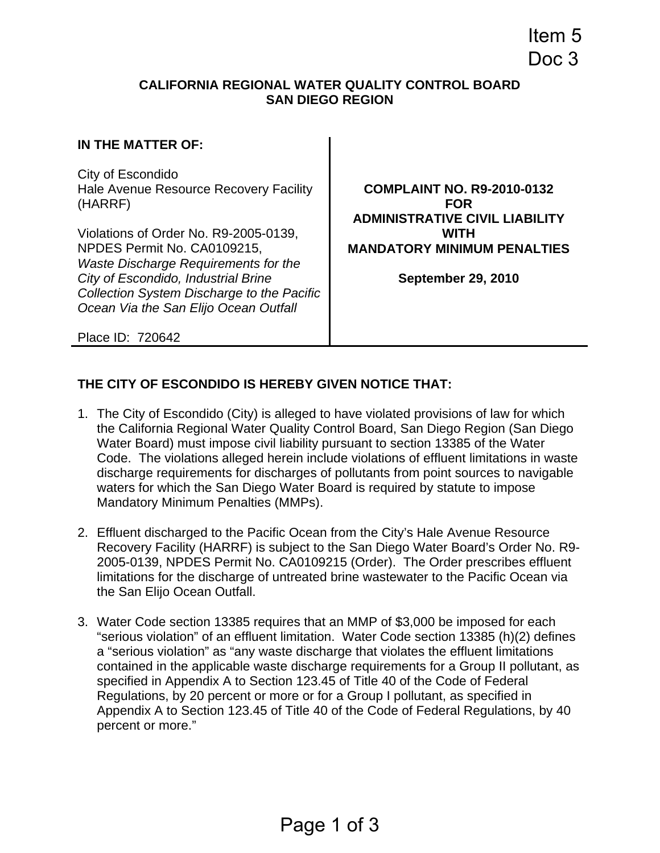Item 5 Doc 3

### **CALIFORNIA REGIONAL WATER QUALITY CONTROL BOARD SAN DIEGO REGION**

# **IN THE MATTER OF:**

City of Escondido Hale Avenue Resource Recovery Facility (HARRF)

Violations of Order No. R9-2005-0139, NPDES Permit No. CA0109215, *Waste Discharge Requirements for the City of Escondido, Industrial Brine Collection System Discharge to the Pacific Ocean Via the San Elijo Ocean Outfall* 

**COMPLAINT NO. R9-2010-0132 FOR ADMINISTRATIVE CIVIL LIABILITY WITH MANDATORY MINIMUM PENALTIES** 

**September 29, 2010** 

Place ID: 720642

# **THE CITY OF ESCONDIDO IS HEREBY GIVEN NOTICE THAT:**

- 1. The City of Escondido (City) is alleged to have violated provisions of law for which the California Regional Water Quality Control Board, San Diego Region (San Diego Water Board) must impose civil liability pursuant to section 13385 of the Water Code. The violations alleged herein include violations of effluent limitations in waste discharge requirements for discharges of pollutants from point sources to navigable waters for which the San Diego Water Board is required by statute to impose Mandatory Minimum Penalties (MMPs).
- 2. Effluent discharged to the Pacific Ocean from the City's Hale Avenue Resource Recovery Facility (HARRF) is subject to the San Diego Water Board's Order No. R9- 2005-0139, NPDES Permit No. CA0109215 (Order). The Order prescribes effluent limitations for the discharge of untreated brine wastewater to the Pacific Ocean via the San Elijo Ocean Outfall.
- 3. Water Code section 13385 requires that an MMP of \$3,000 be imposed for each "serious violation" of an effluent limitation. Water Code section 13385 (h)(2) defines a "serious violation" as "any waste discharge that violates the effluent limitations contained in the applicable waste discharge requirements for a Group II pollutant, as specified in Appendix A to Section 123.45 of Title 40 of the Code of Federal Regulations, by 20 percent or more or for a Group I pollutant, as specified in Appendix A to Section 123.45 of Title 40 of the Code of Federal Regulations, by 40 percent or more."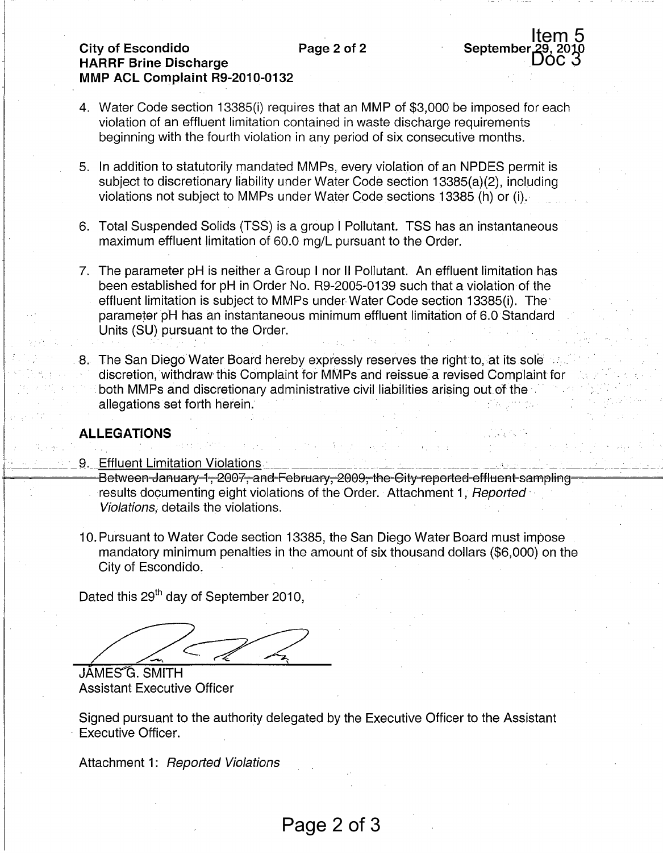Item  $5<sub>28.3848</sub>$ Doc<sup>3</sup>

#### City of Escondido Page 2 of 2 September 2010 HARRF Brine Discharge MMP ACL Complaint R9-2010-0132

- 4. Water Code section 13385(i) requires that an MMP of \$3,000 be imposed for each violation of an effluent limitation contained in waste discharge requirements beginning with the fourth violation in any period of six consecutive months.
- 5. In addition to statutorily mandated MMPs, every violation of an NPDES permit is subject to discretionary liability under Water Code section 13385(a)(2), including violations not subject to MMPs under Water Code sections 13385 (h) or (i).
- 6. Total Suspended Solids (TSS) is a group I Pollutant. TSS has an instantaneous maximum effluent limitation of 60.0 mg/L pursuant to the Order.
- 7. The parameter pH is neither a Group I nor II Pollutant. An effluent limitation has been established for pH in Order No. R9-2005-0139 such that a violation of the effluent limitation is subject to MMPs under Water Code section 13385(i). The parameter pH has an instantaneous minimum effluent limitation of 6.0 Standard Units (SU) pursuant to the Order.
- 8. The San Diego Water Board hereby expressly reserves the right to, at its sole discretion, withdraw this Complaint for MMPs and reissue-a revised Complaint for both MMPs and discretionary administrative civil liabilities arising out of the allegations set forth herein.

# ALLEGATIONS

- 9. Effluent Limitation Violations. Between-January-1, 2007, and-February, 2009, the City-reported-effluent-samplingresults documenting eight violations of the Order. Attachment 1, Reported Violations, details the violations.
- 10. Pursuant to Water Code section 13385, the San Diego Water Board must impose mandatory minimum penalties in the amount of six thousand dollars (\$6,000) on the City of Escondido.

Dated this 29<sup>th</sup> day of September 2010,

JÁMESŐ. SMITH Assistant Executive Officer

Signed pursuant to the authority delegated by the Executive Officer to the Assistant Executive Officer.

Attachment 1: Reported Violations

# Page 2 of 3